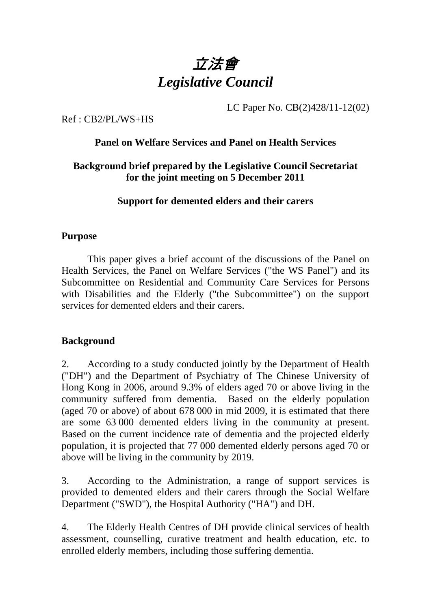

LC Paper No. CB(2)428/11-12(02)

## Ref : CB2/PL/WS+HS

## **Panel on Welfare Services and Panel on Health Services**

## **Background brief prepared by the Legislative Council Secretariat for the joint meeting on 5 December 2011**

## **Support for demented elders and their carers**

#### **Purpose**

This paper gives a brief account of the discussions of the Panel on Health Services, the Panel on Welfare Services ("the WS Panel") and its Subcommittee on Residential and Community Care Services for Persons with Disabilities and the Elderly ("the Subcommittee") on the support services for demented elders and their carers.

## **Background**

2. According to a study conducted jointly by the Department of Health ("DH") and the Department of Psychiatry of The Chinese University of Hong Kong in 2006, around 9.3% of elders aged 70 or above living in the community suffered from dementia. Based on the elderly population (aged 70 or above) of about 678,000 in mid 2009, it is estimated that there are some 63,000 demented elders living in the community at present. Based on the current incidence rate of dementia and the projected elderly population, it is projected that 77,000 demented elderly persons aged 70 or above will be living in the community by 2019.

3. According to the Administration, a range of support services is provided to demented elders and their carers through the Social Welfare Department ("SWD"), the Hospital Authority ("HA") and DH.

4. The Elderly Health Centres of DH provide clinical services of health assessment, counselling, curative treatment and health education, etc. to enrolled elderly members, including those suffering dementia.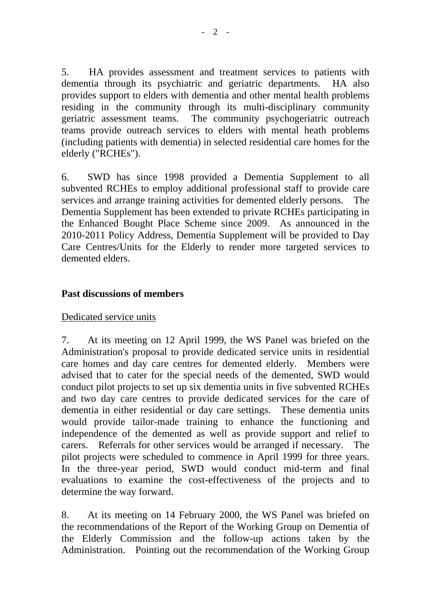5. HA provides assessment and treatment services to patients with dementia through its psychiatric and geriatric departments. HA also provides support to elders with dementia and other mental health problems residing in the community through its multi-disciplinary community geriatric assessment teams. The community psychogeriatric outreach teams provide outreach services to elders with mental heath problems (including patients with dementia) in selected residential care homes for the elderly ("RCHEs").

6. SWD has since 1998 provided a Dementia Supplement to all subvented RCHEs to employ additional professional staff to provide care services and arrange training activities for demented elderly persons. The Dementia Supplement has been extended to private RCHEs participating in the Enhanced Bought Place Scheme since 2009. As announced in the 2010-2011 Policy Address, Dementia Supplement will be provided to Day Care Centres/Units for the Elderly to render more targeted services to demented elders.

## **Past discussions of members**

#### Dedicated service units

7. At its meeting on 12 April 1999, the WS Panel was briefed on the Administration's proposal to provide dedicated service units in residential care homes and day care centres for demented elderly. Members were advised that to cater for the special needs of the demented, SWD would conduct pilot projects to set up six dementia units in five subvented RCHEs and two day care centres to provide dedicated services for the care of dementia in either residential or day care settings. These dementia units would provide tailor-made training to enhance the functioning and independence of the demented as well as provide support and relief to carers. Referrals for other services would be arranged if necessary. The pilot projects were scheduled to commence in April 1999 for three years. In the three-year period, SWD would conduct mid-term and final evaluations to examine the cost-effectiveness of the projects and to determine the way forward.

8. At its meeting on 14 February 2000, the WS Panel was briefed on the recommendations of the Report of the Working Group on Dementia of the Elderly Commission and the follow-up actions taken by the Administration. Pointing out the recommendation of the Working Group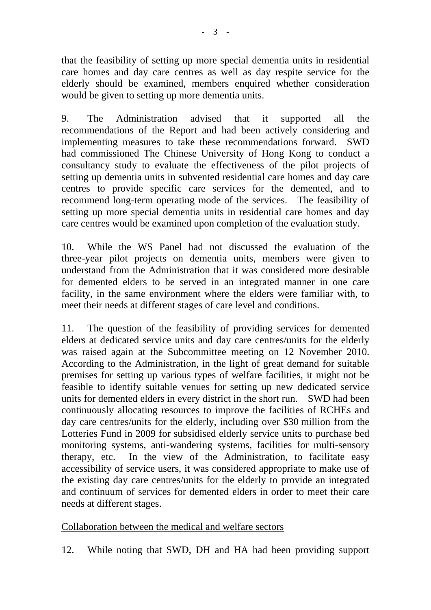that the feasibility of setting up more special dementia units in residential care homes and day care centres as well as day respite service for the elderly should be examined, members enquired whether consideration would be given to setting up more dementia units.

9. The Administration advised that it supported all the recommendations of the Report and had been actively considering and implementing measures to take these recommendations forward. SWD had commissioned The Chinese University of Hong Kong to conduct a consultancy study to evaluate the effectiveness of the pilot projects of setting up dementia units in subvented residential care homes and day care centres to provide specific care services for the demented, and to recommend long-term operating mode of the services. The feasibility of setting up more special dementia units in residential care homes and day care centres would be examined upon completion of the evaluation study.

10. While the WS Panel had not discussed the evaluation of the three-year pilot projects on dementia units, members were given to understand from the Administration that it was considered more desirable for demented elders to be served in an integrated manner in one care facility, in the same environment where the elders were familiar with, to meet their needs at different stages of care level and conditions.

11. The question of the feasibility of providing services for demented elders at dedicated service units and day care centres/units for the elderly was raised again at the Subcommittee meeting on 12 November 2010. According to the Administration, in the light of great demand for suitable premises for setting up various types of welfare facilities, it might not be feasible to identify suitable venues for setting up new dedicated service units for demented elders in every district in the short run. SWD had been continuously allocating resources to improve the facilities of RCHEs and day care centres/units for the elderly, including over \$30 million from the Lotteries Fund in 2009 for subsidised elderly service units to purchase bed monitoring systems, anti-wandering systems, facilities for multi-sensory therapy, etc. In the view of the Administration, to facilitate easy accessibility of service users, it was considered appropriate to make use of the existing day care centres/units for the elderly to provide an integrated and continuum of services for demented elders in order to meet their care needs at different stages.

# Collaboration between the medical and welfare sectors

12. While noting that SWD, DH and HA had been providing support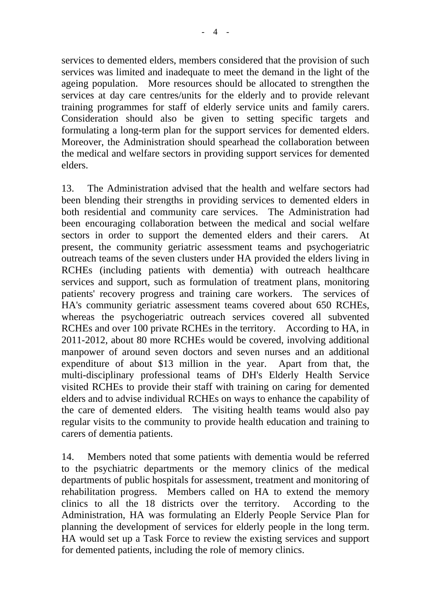- 4 -

services to demented elders, members considered that the provision of such services was limited and inadequate to meet the demand in the light of the ageing population. More resources should be allocated to strengthen the services at day care centres/units for the elderly and to provide relevant training programmes for staff of elderly service units and family carers. Consideration should also be given to setting specific targets and formulating a long-term plan for the support services for demented elders. Moreover, the Administration should spearhead the collaboration between the medical and welfare sectors in providing support services for demented elders.

13. The Administration advised that the health and welfare sectors had been blending their strengths in providing services to demented elders in both residential and community care services. The Administration had been encouraging collaboration between the medical and social welfare sectors in order to support the demented elders and their carers. At present, the community geriatric assessment teams and psychogeriatric outreach teams of the seven clusters under HA provided the elders living in RCHEs (including patients with dementia) with outreach healthcare services and support, such as formulation of treatment plans, monitoring patients' recovery progress and training care workers. The services of HA's community geriatric assessment teams covered about 650 RCHEs, whereas the psychogeriatric outreach services covered all subvented RCHEs and over 100 private RCHEs in the territory. According to HA, in 2011-2012, about 80 more RCHEs would be covered, involving additional manpower of around seven doctors and seven nurses and an additional expenditure of about \$13 million in the year. Apart from that, the multi-disciplinary professional teams of DH's Elderly Health Service visited RCHEs to provide their staff with training on caring for demented elders and to advise individual RCHEs on ways to enhance the capability of the care of demented elders. The visiting health teams would also pay regular visits to the community to provide health education and training to carers of dementia patients.

14. Members noted that some patients with dementia would be referred to the psychiatric departments or the memory clinics of the medical departments of public hospitals for assessment, treatment and monitoring of rehabilitation progress. Members called on HA to extend the memory clinics to all the 18 districts over the territory. According to the Administration, HA was formulating an Elderly People Service Plan for planning the development of services for elderly people in the long term. HA would set up a Task Force to review the existing services and support for demented patients, including the role of memory clinics.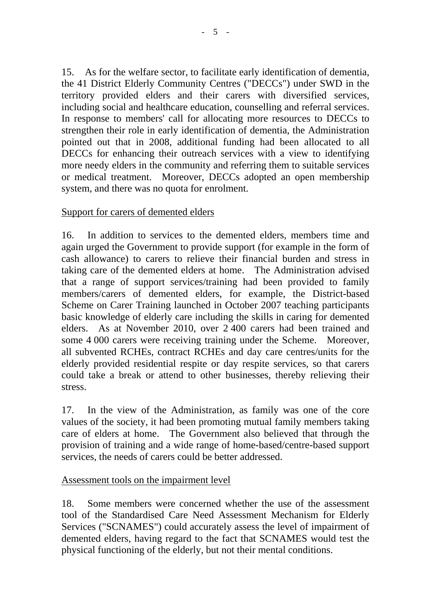15. As for the welfare sector, to facilitate early identification of dementia, the 41 District Elderly Community Centres ("DECCs") under SWD in the territory provided elders and their carers with diversified services, including social and healthcare education, counselling and referral services. In response to members' call for allocating more resources to DECCs to strengthen their role in early identification of dementia, the Administration pointed out that in 2008, additional funding had been allocated to all DECCs for enhancing their outreach services with a view to identifying more needy elders in the community and referring them to suitable services or medical treatment. Moreover, DECCs adopted an open membership system, and there was no quota for enrolment.

# Support for carers of demented elders

16. In addition to services to the demented elders, members time and again urged the Government to provide support (for example in the form of cash allowance) to carers to relieve their financial burden and stress in taking care of the demented elders at home. The Administration advised that a range of support services/training had been provided to family members/carers of demented elders, for example, the District-based Scheme on Carer Training launched in October 2007 teaching participants basic knowledge of elderly care including the skills in caring for demented elders. As at November 2010, over 2,400 carers had been trained and some 4,000 carers were receiving training under the Scheme. Moreover, all subvented RCHEs, contract RCHEs and day care centres/units for the elderly provided residential respite or day respite services, so that carers could take a break or attend to other businesses, thereby relieving their stress.

17. In the view of the Administration, as family was one of the core values of the society, it had been promoting mutual family members taking care of elders at home. The Government also believed that through the provision of training and a wide range of home-based/centre-based support services, the needs of carers could be better addressed.

# Assessment tools on the impairment level

18. Some members were concerned whether the use of the assessment tool of the Standardised Care Need Assessment Mechanism for Elderly Services ("SCNAMES") could accurately assess the level of impairment of demented elders, having regard to the fact that SCNAMES would test the physical functioning of the elderly, but not their mental conditions.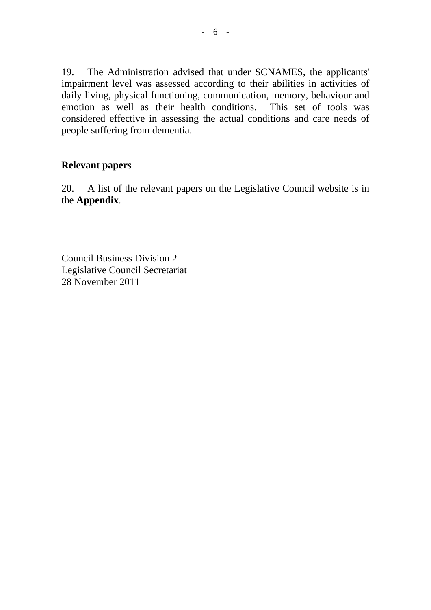19. The Administration advised that under SCNAMES, the applicants' impairment level was assessed according to their abilities in activities of daily living, physical functioning, communication, memory, behaviour and emotion as well as their health conditions. This set of tools was considered effective in assessing the actual conditions and care needs of people suffering from dementia.

## **Relevant papers**

20. A list of the relevant papers on the Legislative Council website is in the **Appendix**.

Council Business Division 2 Legislative Council Secretariat 28 November 2011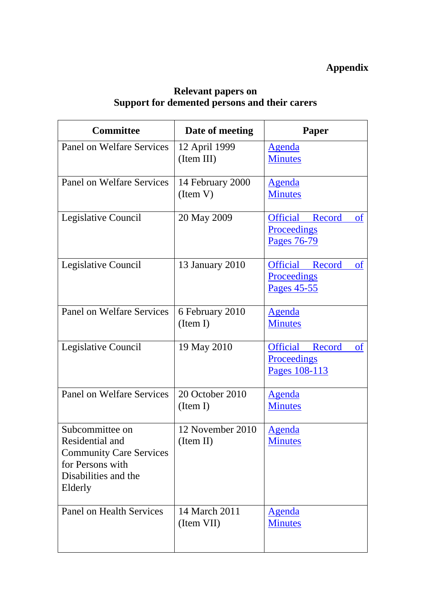#### **Relevant papers on Support for demented persons and their carers**

| <b>Committee</b>                                                                                                            | Date of meeting               | Paper                                                                             |
|-----------------------------------------------------------------------------------------------------------------------------|-------------------------------|-----------------------------------------------------------------------------------|
| Panel on Welfare Services                                                                                                   | 12 April 1999<br>(Item III)   | <u>Agenda</u><br><b>Minutes</b>                                                   |
| Panel on Welfare Services                                                                                                   | 14 February 2000<br>(Item V)  | <b>Agenda</b><br><b>Minutes</b>                                                   |
| Legislative Council                                                                                                         | 20 May 2009                   | <b>Official</b><br><sub>of</sub><br>Record<br><b>Proceedings</b><br>Pages 76-79   |
| Legislative Council                                                                                                         | 13 January 2010               | <b>Official</b><br><sub>of</sub><br>Record<br>Proceedings<br>Pages 45-55          |
| Panel on Welfare Services                                                                                                   | 6 February 2010<br>(Item I)   | <b>Agenda</b><br><b>Minutes</b>                                                   |
| Legislative Council                                                                                                         | 19 May 2010                   | <b>Official</b><br>Record<br><sub>of</sub><br><b>Proceedings</b><br>Pages 108-113 |
| <b>Panel on Welfare Services</b>                                                                                            | 20 October 2010<br>(Item I)   | <b>Agenda</b><br><b>Minutes</b>                                                   |
| Subcommittee on<br>Residential and<br><b>Community Care Services</b><br>for Persons with<br>Disabilities and the<br>Elderly | 12 November 2010<br>(Item II) | <b>Agenda</b><br><b>Minutes</b>                                                   |
| Panel on Health Services                                                                                                    | 14 March 2011<br>(Item VII)   | <b>Agenda</b><br><b>Minutes</b>                                                   |